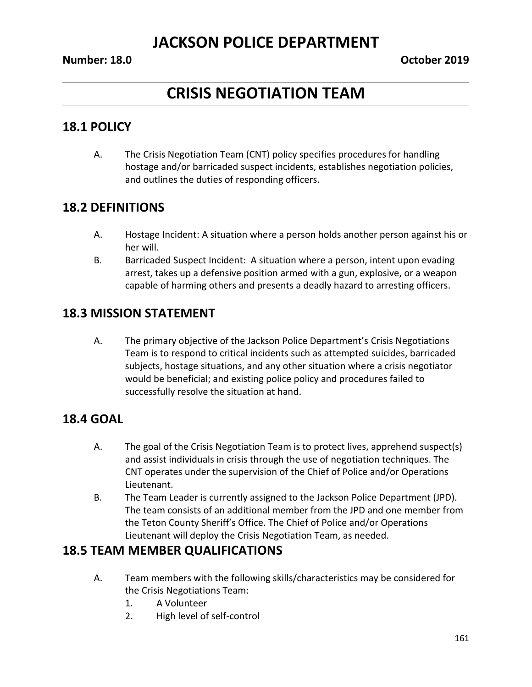# **CRISIS NEGOTIATION TEAM**

### **18.1 POLICY**

A. The Crisis Negotiation Team (CNT) policy specifies procedures for handling hostage and/or barricaded suspect incidents, establishes negotiation policies, and outlines the duties of responding officers.

### **18.2 DEFINITIONS**

- A. Hostage Incident: A situation where a person holds another person against his or her will.
- B. Barricaded Suspect Incident: A situation where a person, intent upon evading arrest, takes up a defensive position armed with a gun, explosive, or a weapon capable of harming others and presents a deadly hazard to arresting officers.

## **18.3 MISSION STATEMENT**

A. The primary objective of the Jackson Police Department's Crisis Negotiations Team is to respond to critical incidents such as attempted suicides, barricaded subjects, hostage situations, and any other situation where a crisis negotiator would be beneficial; and existing police policy and procedures failed to successfully resolve the situation at hand.

## **18.4 GOAL**

- A. The goal of the Crisis Negotiation Team is to protect lives, apprehend suspect(s) and assist individuals in crisis through the use of negotiation techniques. The CNT operates under the supervision of the Chief of Police and/or Operations Lieutenant.
- B. The Team Leader is currently assigned to the Jackson Police Department (JPD). The team consists of an additional member from the JPD and one member from the Teton County Sheriff's Office. The Chief of Police and/or Operations Lieutenant will deploy the Crisis Negotiation Team, as needed.

## **18.5 TEAM MEMBER QUALIFICATIONS**

- A. Team members with the following skills/characteristics may be considered for the Crisis Negotiations Team:
	- 1. A Volunteer
	- 2. High level of self-control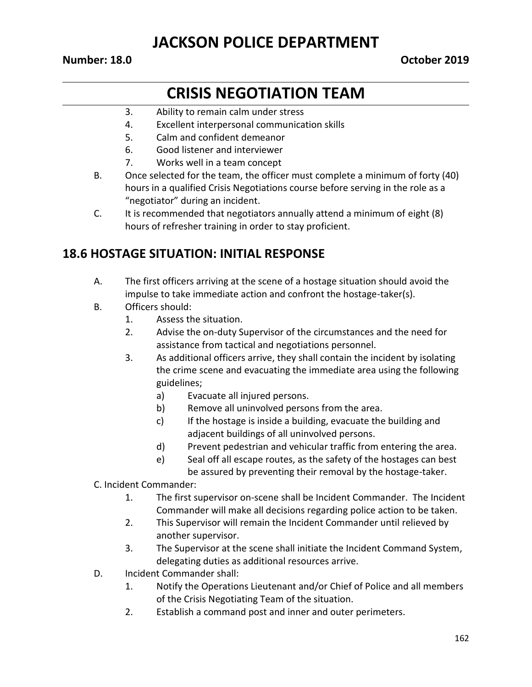#### **Number: 18.0 October 2019**

# **CRISIS NEGOTIATION TEAM**

- 3. Ability to remain calm under stress
- 4. Excellent interpersonal communication skills
- 5. Calm and confident demeanor
- 6. Good listener and interviewer
- 7. Works well in a team concept
- B. Once selected for the team, the officer must complete a minimum of forty (40) hours in a qualified Crisis Negotiations course before serving in the role as a "negotiator" during an incident.
- C. It is recommended that negotiators annually attend a minimum of eight (8) hours of refresher training in order to stay proficient.

## **18.6 HOSTAGE SITUATION: INITIAL RESPONSE**

- A. The first officers arriving at the scene of a hostage situation should avoid the impulse to take immediate action and confront the hostage-taker(s).
- B. Officers should:
	- 1. Assess the situation.
	- 2. Advise the on-duty Supervisor of the circumstances and the need for assistance from tactical and negotiations personnel.
	- 3. As additional officers arrive, they shall contain the incident by isolating the crime scene and evacuating the immediate area using the following guidelines;
		- a) Evacuate all injured persons.
		- b) Remove all uninvolved persons from the area.
		- c) If the hostage is inside a building, evacuate the building and adjacent buildings of all uninvolved persons.
		- d) Prevent pedestrian and vehicular traffic from entering the area.
		- e) Seal off all escape routes, as the safety of the hostages can best

be assured by preventing their removal by the hostage-taker.

- C. Incident Commander:
	- 1. The first supervisor on-scene shall be Incident Commander. The Incident Commander will make all decisions regarding police action to be taken.
	- 2. This Supervisor will remain the Incident Commander until relieved by another supervisor.
	- 3. The Supervisor at the scene shall initiate the Incident Command System, delegating duties as additional resources arrive.
- D. Incident Commander shall:
	- 1. Notify the Operations Lieutenant and/or Chief of Police and all members of the Crisis Negotiating Team of the situation.
	- 2. Establish a command post and inner and outer perimeters.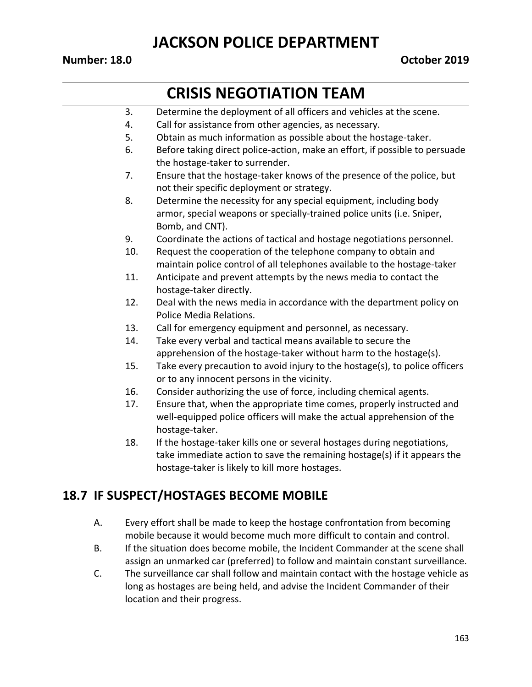#### **Number: 18.0 October 2019**

# **CRISIS NEGOTIATION TEAM**

- 3. Determine the deployment of all officers and vehicles at the scene.
- 4. Call for assistance from other agencies, as necessary.
- 5. Obtain as much information as possible about the hostage-taker.
- 6. Before taking direct police-action, make an effort, if possible to persuade the hostage-taker to surrender.
- 7. Ensure that the hostage-taker knows of the presence of the police, but not their specific deployment or strategy.
- 8. Determine the necessity for any special equipment, including body armor, special weapons or specially-trained police units (i.e. Sniper, Bomb, and CNT).
- 9. Coordinate the actions of tactical and hostage negotiations personnel.
- 10. Request the cooperation of the telephone company to obtain and maintain police control of all telephones available to the hostage-taker
- 11. Anticipate and prevent attempts by the news media to contact the hostage-taker directly.
- 12. Deal with the news media in accordance with the department policy on Police Media Relations.
- 13. Call for emergency equipment and personnel, as necessary.
- 14. Take every verbal and tactical means available to secure the apprehension of the hostage-taker without harm to the hostage(s).
- 15. Take every precaution to avoid injury to the hostage(s), to police officers or to any innocent persons in the vicinity.
- 16. Consider authorizing the use of force, including chemical agents.
- 17. Ensure that, when the appropriate time comes, properly instructed and well-equipped police officers will make the actual apprehension of the hostage-taker.
- 18. If the hostage-taker kills one or several hostages during negotiations, take immediate action to save the remaining hostage(s) if it appears the hostage-taker is likely to kill more hostages.

#### **18.7 IF SUSPECT/HOSTAGES BECOME MOBILE**

- A. Every effort shall be made to keep the hostage confrontation from becoming mobile because it would become much more difficult to contain and control.
- B. If the situation does become mobile, the Incident Commander at the scene shall assign an unmarked car (preferred) to follow and maintain constant surveillance.
- C. The surveillance car shall follow and maintain contact with the hostage vehicle as long as hostages are being held, and advise the Incident Commander of their location and their progress.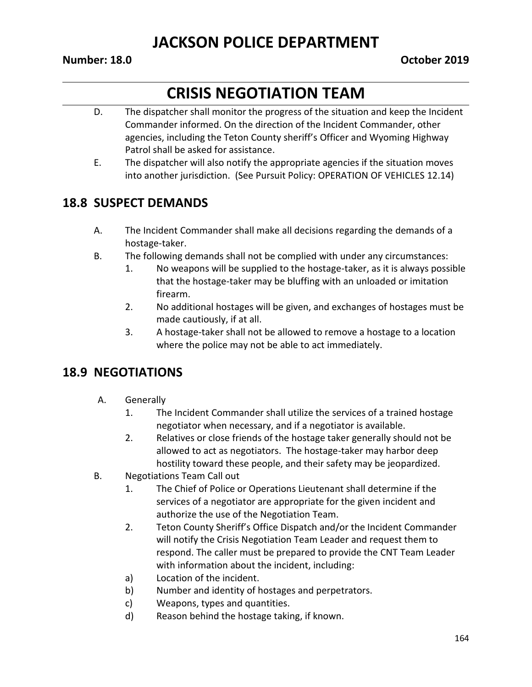#### **Number: 18.0 October 2019**

# **CRISIS NEGOTIATION TEAM**

- D. The dispatcher shall monitor the progress of the situation and keep the Incident Commander informed. On the direction of the Incident Commander, other agencies, including the Teton County sheriff's Officer and Wyoming Highway Patrol shall be asked for assistance.
- E. The dispatcher will also notify the appropriate agencies if the situation moves into another jurisdiction. (See Pursuit Policy: OPERATION OF VEHICLES 12.14)

## **18.8 SUSPECT DEMANDS**

- A. The Incident Commander shall make all decisions regarding the demands of a hostage-taker.
- B. The following demands shall not be complied with under any circumstances:
	- 1. No weapons will be supplied to the hostage-taker, as it is always possible that the hostage-taker may be bluffing with an unloaded or imitation firearm.
	- 2. No additional hostages will be given, and exchanges of hostages must be made cautiously, if at all.
	- 3. A hostage-taker shall not be allowed to remove a hostage to a location where the police may not be able to act immediately.

## **18.9 NEGOTIATIONS**

- A. Generally
	- 1. The Incident Commander shall utilize the services of a trained hostage negotiator when necessary, and if a negotiator is available.
	- 2. Relatives or close friends of the hostage taker generally should not be allowed to act as negotiators. The hostage-taker may harbor deep hostility toward these people, and their safety may be jeopardized.
- B. Negotiations Team Call out
	- 1. The Chief of Police or Operations Lieutenant shall determine if the services of a negotiator are appropriate for the given incident and authorize the use of the Negotiation Team.
	- 2. Teton County Sheriff's Office Dispatch and/or the Incident Commander will notify the Crisis Negotiation Team Leader and request them to respond. The caller must be prepared to provide the CNT Team Leader with information about the incident, including:
	- a) Location of the incident.
	- b) Number and identity of hostages and perpetrators.
	- c) Weapons, types and quantities.
	- d) Reason behind the hostage taking, if known.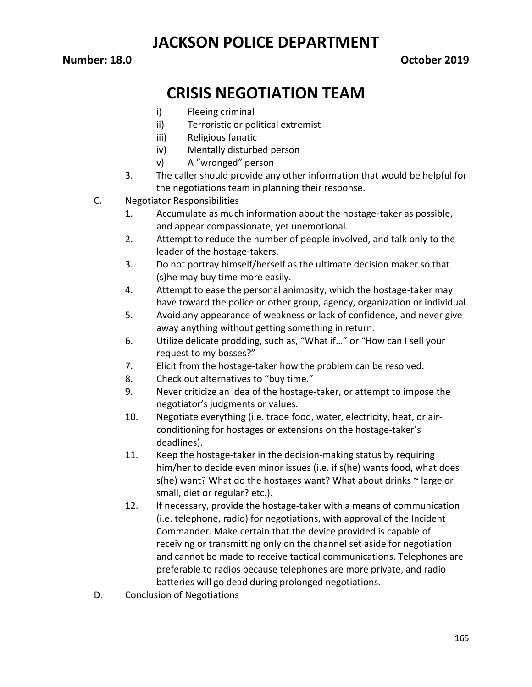#### **Number: 18.0 October 2019**

## **CRISIS NEGOTIATION TEAM**

- i) Fleeing criminal
- ii) Terroristic or political extremist
- iii) Religious fanatic
- iv) Mentally disturbed person
- v) A "wronged" person
- 3. The caller should provide any other information that would be helpful for the negotiations team in planning their response.
- C. Negotiator Responsibilities
	- 1. Accumulate as much information about the hostage-taker as possible, and appear compassionate, yet unemotional.
	- 2. Attempt to reduce the number of people involved, and talk only to the leader of the hostage-takers.
	- 3. Do not portray himself/herself as the ultimate decision maker so that (s)he may buy time more easily.
	- 4. Attempt to ease the personal animosity, which the hostage-taker may have toward the police or other group, agency, organization or individual.
	- 5. Avoid any appearance of weakness or lack of confidence, and never give away anything without getting something in return.
	- 6. Utilize delicate prodding, such as, "What if…" or "How can I sell your request to my bosses?"
	- 7. Elicit from the hostage-taker how the problem can be resolved.
	- 8. Check out alternatives to "buy time."
	- 9. Never criticize an idea of the hostage-taker, or attempt to impose the negotiator's judgments or values.
	- 10. Negotiate everything (i.e. trade food, water, electricity, heat, or airconditioning for hostages or extensions on the hostage-taker's deadlines).
	- 11. Keep the hostage-taker in the decision-making status by requiring him/her to decide even minor issues (i.e. if s(he) wants food, what does s(he) want? What do the hostages want? What about drinks  $\sim$  large or small, diet or regular? etc.).
	- 12. If necessary, provide the hostage-taker with a means of communication (i.e. telephone, radio) for negotiations, with approval of the Incident Commander. Make certain that the device provided is capable of receiving or transmitting only on the channel set aside for negotiation and cannot be made to receive tactical communications. Telephones are preferable to radios because telephones are more private, and radio batteries will go dead during prolonged negotiations.
- D. Conclusion of Negotiations